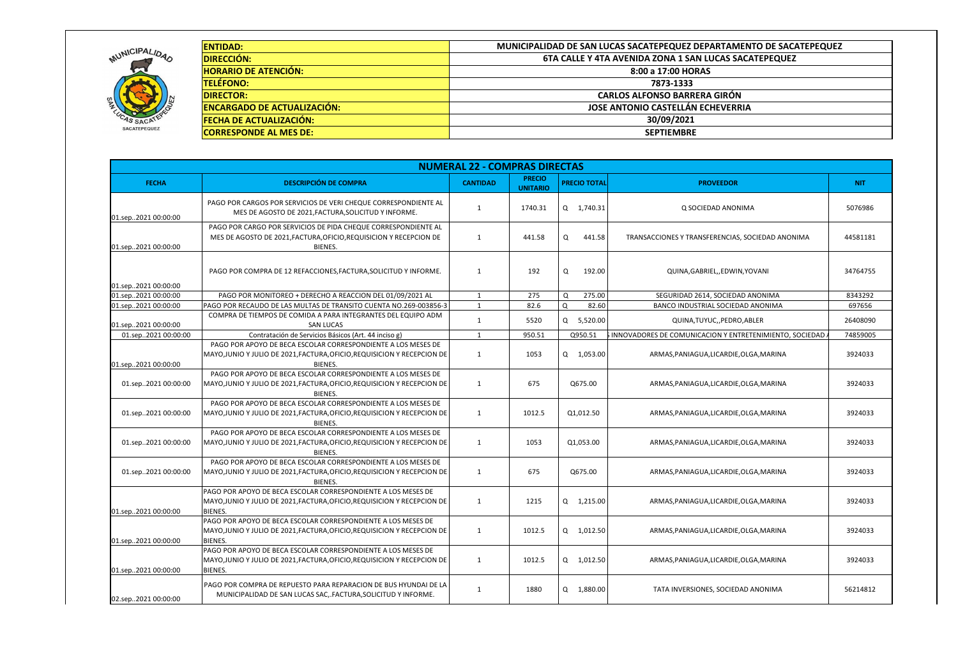|                     | <b>ENTIDAD:</b>                    | <b>MUNICIPALIDAD DE SAN LUCAS SA</b> |
|---------------------|------------------------------------|--------------------------------------|
| MUNICIPALIDAD       | <b>DIRECCIÓN:</b>                  | <b>6TA CALLE Y 4TA AVENI</b>         |
|                     | <b>HORARIO DE ATENCIÓN:</b>        | 8:                                   |
|                     | <b>TELÉFONO:</b>                   |                                      |
|                     | <b>DIRECTOR:</b>                   | <b>CARLOS A</b>                      |
| $\frac{1}{2}$       | <b>ENCARGADO DE ACTUALIZACIÓN:</b> | <b>JOSE ANTON</b>                    |
| "AS SACA"           | <b>FECHA DE ACTUALIZACIÓN:</b>     |                                      |
| <b>SACATEPEQUEZ</b> | <b>CORRESPONDE AL MES DE:</b>      |                                      |

|                                            |                                                                                                                                                                         | <b>NUMERAL 22 - COMPRAS DIRECTAS</b> |                                  |                     |                                                           |            |
|--------------------------------------------|-------------------------------------------------------------------------------------------------------------------------------------------------------------------------|--------------------------------------|----------------------------------|---------------------|-----------------------------------------------------------|------------|
| <b>FECHA</b>                               | <b>DESCRIPCIÓN DE COMPRA</b>                                                                                                                                            | <b>CANTIDAD</b>                      | <b>PRECIO</b><br><b>UNITARIO</b> | <b>PRECIO TOTAL</b> | <b>PROVEEDOR</b>                                          | <b>NIT</b> |
| 01.sep2021 00:00:00                        | PAGO POR CARGOS POR SERVICIOS DE VERI CHEQUE CORRESPONDIENTE AL<br>MES DE AGOSTO DE 2021, FACTURA, SOLICITUD Y INFORME.                                                 | $\mathbf{1}$                         | 1740.31                          | 1,740.31<br>Q       | Q SOCIEDAD ANONIMA                                        | 5076986    |
| 01.sep2021 00:00:00                        | PAGO POR CARGO POR SERVICIOS DE PIDA CHEQUE CORRESPONDIENTE AL<br>MES DE AGOSTO DE 2021, FACTURA, OFICIO, REQUISICION Y RECEPCION DE<br><b>BIENES.</b>                  | 1                                    | 441.58                           | 441.58<br>Q         | TRANSACCIONES Y TRANSFERENCIAS, SOCIEDAD ANONIMA          | 44581181   |
|                                            | PAGO POR COMPRA DE 12 REFACCIONES, FACTURA, SOLICITUD Y INFORME.                                                                                                        | 1                                    | 192                              | Q<br>192.00         | QUINA, GABRIEL, , EDWIN, YOVANI                           | 34764755   |
| 01.sep2021 00:00:00<br>01.sep2021 00:00:00 | PAGO POR MONITOREO + DERECHO A REACCION DEL 01/09/2021 AL                                                                                                               | $\mathbf{1}$                         | 275                              | Q<br>275.00         | SEGURIDAD 2614, SOCIEDAD ANONIMA                          | 8343292    |
| 01.sep2021 00:00:00                        | PAGO POR RECAUDO DE LAS MULTAS DE TRANSITO CUENTA NO.269-003856-3                                                                                                       | $\mathbf{1}$                         | 82.6                             | 82.60<br>Q          | BANCO INDUSTRIAL SOCIEDAD ANONIMA                         | 697656     |
| 01.sep2021 00:00:00                        | COMPRA DE TIEMPOS DE COMIDA A PARA INTEGRANTES DEL EQUIPO ADM<br><b>SAN LUCAS</b>                                                                                       | -1                                   | 5520                             | 5,520.00<br>Q       | QUINA, TUYUC, , PEDRO, ABLER                              | 26408090   |
| 01.sep2021 00:00:00                        | Contratación de Servicios Básicos (Art. 44 inciso g)                                                                                                                    | -1                                   | 950.51                           | Q950.51             | INNOVADORES DE COMUNICACION Y ENTRETENIMIENTO, SOCIEDAD A | 74859005   |
| 01.sep2021 00:00:00                        | PAGO POR APOYO DE BECA ESCOLAR CORRESPONDIENTE A LOS MESES DE<br>MAYO, JUNIO Y JULIO DE 2021, FACTURA, OFICIO, REQUISICION Y RECEPCION DE<br><b>BIENES.</b>             | 1                                    | 1053                             | 1,053.00<br>Q       | ARMAS, PANIAGUA, LICARDIE, OLGA, MARINA                   | 3924033    |
| 01.sep2021 00:00:00                        | PAGO POR APOYO DE BECA ESCOLAR CORRESPONDIENTE A LOS MESES DE<br>MAYO, JUNIO Y JULIO DE 2021, FACTURA, OFICIO, REQUISICION Y RECEPCION DE<br><b>BIENES.</b>             | 1                                    | 675                              | Q675.00             | ARMAS, PANIAGUA, LICARDIE, OLGA, MARINA                   | 3924033    |
| 01.sep2021 00:00:00                        | PAGO POR APOYO DE BECA ESCOLAR CORRESPONDIENTE A LOS MESES DE<br>MAYO, JUNIO Y JULIO DE 2021, FACTURA, OFICIO, REQUISICION Y RECEPCION DE<br><b>BIENES.</b>             | 1                                    | 1012.5                           | Q1,012.50           | ARMAS, PANIAGUA, LICARDIE, OLGA, MARINA                   | 3924033    |
| 01.sep2021 00:00:00                        | PAGO POR APOYO DE BECA ESCOLAR CORRESPONDIENTE A LOS MESES DE<br>MAYO, JUNIO Y JULIO DE 2021, FACTURA, OFICIO, REQUISICION Y RECEPCION DE<br><b>BIENES.</b>             | 1                                    | 1053                             | Q1,053.00           | ARMAS, PANIAGUA, LICARDIE, OLGA, MARINA                   | 3924033    |
| 01.sep2021 00:00:00                        | PAGO POR APOYO DE BECA ESCOLAR CORRESPONDIENTE A LOS MESES DE<br>MAYO, JUNIO Y JULIO DE 2021, FACTURA, OFICIO, REQUISICION Y RECEPCION DE<br><b>BIENES.</b>             |                                      | 675                              | Q675.00             | ARMAS, PANIAGUA, LICARDIE, OLGA, MARINA                   | 3924033    |
| 01.sep2021 00:00:00                        | PAGO POR APOYO DE BECA ESCOLAR CORRESPONDIENTE A LOS MESES DE<br>$\vert$ MAYO,JUNIO Y JULIO DE 2021,FACTURA,OFICIO,REQUISICION Y RECEPCION DE $\vert$<br><b>BIENES.</b> | $\mathbf{1}$                         | 1215                             | Q<br>1,215.00       | ARMAS, PANIAGUA, LICARDIE, OLGA, MARINA                   | 3924033    |
| 01.sep2021 00:00:00                        | PAGO POR APOYO DE BECA ESCOLAR CORRESPONDIENTE A LOS MESES DE<br>$\vert$ MAYO,JUNIO Y JULIO DE 2021,FACTURA,OFICIO,REQUISICION Y RECEPCION DE $\vert$<br><b>BIENES.</b> | $\mathbf{1}$                         | 1012.5                           | 1,012.50<br>Q       | ARMAS, PANIAGUA, LICARDIE, OLGA, MARINA                   | 3924033    |
| 01.sep2021 00:00:00                        | PAGO POR APOYO DE BECA ESCOLAR CORRESPONDIENTE A LOS MESES DE<br>$\vert$ MAYO,JUNIO Y JULIO DE 2021,FACTURA,OFICIO,REQUISICION Y RECEPCION DE $\vert$<br><b>BIENES.</b> | $\mathbf{1}$                         | 1012.5                           | 1,012.50<br>Q       | ARMAS, PANIAGUA, LICARDIE, OLGA, MARINA                   | 3924033    |
| 02.sep2021 00:00:00                        | PAGO POR COMPRA DE REPUESTO PARA REPARACION DE BUS HYUNDAI DE LA<br>MUNICIPALIDAD DE SAN LUCAS SAC, FACTURA, SOLICITUD Y INFORME.                                       | $\mathbf{1}$                         | 1880                             | 1,880.00<br>Q       | TATA INVERSIONES, SOCIEDAD ANONIMA                        | 56214812   |

## **MUNICIPALIZA DE SACATEPEQUEZ DEPARTAMENTO DE SACATEPEQUEZ 6TA CALLE Y 4TA AVENIDA ZONA 1 SAN LUCAS SACATEPEQUEZ 8:00 a 17:00 HORAS 7873-1333**

**SEPTIEMBRE**

## **CARLOS ALFONSO BARRERA GIRÓN**

**NIO CASTELLÁN ECHEVERRIA** 

**30/09/2021**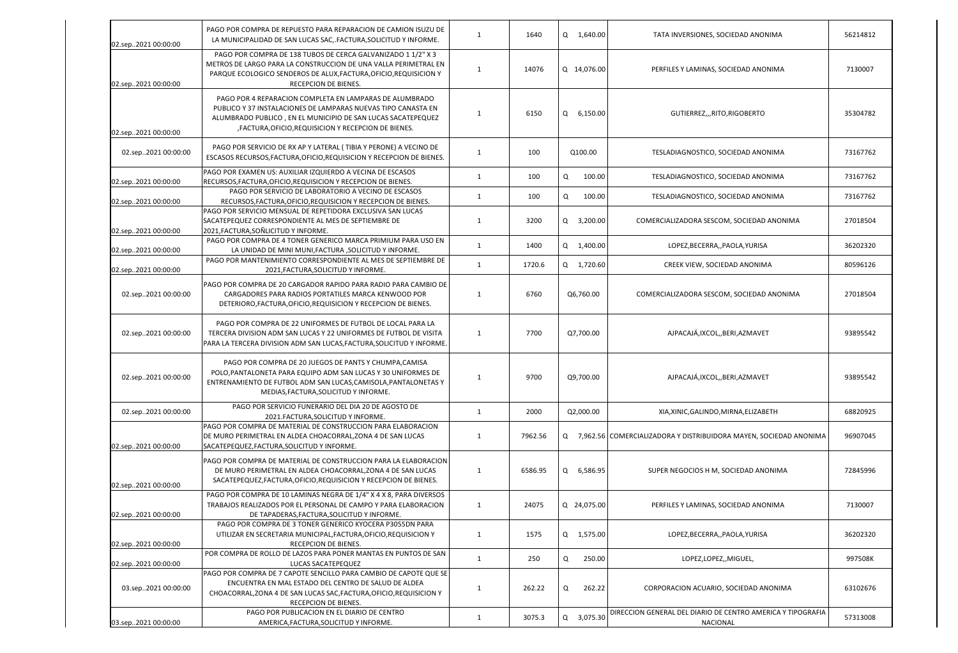| 02.sep2021 00:00:00 | PAGO POR COMPRA DE REPUESTO PARA REPARACION DE CAMION ISUZU DE<br>LA MUNICIPALIDAD DE SAN LUCAS SAC, FACTURA, SOLICITUD Y INFORME.                                                                                                               | -1             | 1640    | Q 1,640.00    | TATA INVERSIONES, SOCIEDAD ANONIMA                                      | 56214812 |
|---------------------|--------------------------------------------------------------------------------------------------------------------------------------------------------------------------------------------------------------------------------------------------|----------------|---------|---------------|-------------------------------------------------------------------------|----------|
| 02.sep2021 00:00:00 | PAGO POR COMPRA DE 138 TUBOS DE CERCA GALVANIZADO 1 1/2" X 3<br>METROS DE LARGO PARA LA CONSTRUCCION DE UNA VALLA PERIMETRAL EN<br>PARQUE ECOLOGICO SENDEROS DE ALUX, FACTURA, OFICIO, REQUISICION Y<br>RECEPCION DE BIENES.                     | -1             | 14076   | Q 14,076.00   | PERFILES Y LAMINAS, SOCIEDAD ANONIMA                                    | 7130007  |
| 02.sep2021 00:00:00 | PAGO POR 4 REPARACION COMPLETA EN LAMPARAS DE ALUMBRADO<br>PUBLICO Y 37 INSTALACIONES DE LAMPARAS NUEVAS TIPO CANASTA EN<br>ALUMBRADO PUBLICO, EN EL MUNICIPIO DE SAN LUCAS SACATEPEQUEZ<br>,FACTURA, OFICIO, REQUISICION Y RECEPCION DE BIENES. | -1             | 6150    | Q<br>6,150.00 | GUTIERREZ,,,RITO,RIGOBERTO                                              | 35304782 |
| 02.sep2021 00:00:00 | PAGO POR SERVICIO DE RX AP Y LATERAL (TIBIA Y PERONE) A VECINO DE<br>ESCASOS RECURSOS, FACTURA, OFICIO, REQUISICION Y RECEPCION DE BIENES.                                                                                                       | -1             | 100     | Q100.00       | TESLADIAGNOSTICO, SOCIEDAD ANONIMA                                      | 73167762 |
| 02.sep2021 00:00:00 | PAGO POR EXAMEN US: AUXILIAR IZQUIERDO A VECINA DE ESCASOS<br>RECURSOS, FACTURA, OFICIO, REQUISICION Y RECEPCION DE BIENES.                                                                                                                      | $\mathbf{1}$   | 100     | 100.00<br>Q   | TESLADIAGNOSTICO, SOCIEDAD ANONIMA                                      | 73167762 |
| 02.sep2021 00:00:00 | PAGO POR SERVICIO DE LABORATORIO A VECINO DE ESCASOS<br>RECURSOS, FACTURA, OFICIO, REQUISICION Y RECEPCION DE BIENES.                                                                                                                            | $\overline{1}$ | 100     | 100.00<br>Q   | TESLADIAGNOSTICO, SOCIEDAD ANONIMA                                      | 73167762 |
| 02.sep2021 00:00:00 | PAGO POR SERVICIO MENSUAL DE REPETIDORA EXCLUSIVA SAN LUCAS<br>SACATEPEQUEZ CORRESPONDIENTE AL MES DE SEPTIEMBRE DE<br>2021, FACTURA, SOÑLICITUD Y INFORME.                                                                                      | $\overline{1}$ | 3200    | 3,200.00<br>Q | COMERCIALIZADORA SESCOM, SOCIEDAD ANONIMA                               | 27018504 |
| 02.sep2021 00:00:00 | PAGO POR COMPRA DE 4 TONER GENERICO MARCA PRIMIUM PARA USO EN<br>LA UNIDAD DE MINI MUNI, FACTURA, SOLICITUD Y INFORME.                                                                                                                           | $\overline{1}$ | 1400    | Q 1,400.00    | LOPEZ, BECERRA,, PAOLA, YURISA                                          | 36202320 |
| 02.sep2021 00:00:00 | PAGO POR MANTENIMIENTO CORRESPONDIENTE AL MES DE SEPTIEMBRE DE<br>2021, FACTURA, SOLICITUD Y INFORME.                                                                                                                                            | $\mathbf{1}$   | 1720.6  | Q 1,720.60    | CREEK VIEW, SOCIEDAD ANONIMA                                            | 80596126 |
| 02.sep2021 00:00:00 | PAGO POR COMPRA DE 20 CARGADOR RAPIDO PARA RADIO PARA CAMBIO DE<br>CARGADORES PARA RADIOS PORTATILES MARCA KENWOOD POR<br>DETERIORO, FACTURA, OFICIO, REQUISICION Y RECEPCION DE BIENES.                                                         | -1             | 6760    | Q6,760.00     | COMERCIALIZADORA SESCOM, SOCIEDAD ANONIMA                               | 27018504 |
| 02.sep2021 00:00:00 | PAGO POR COMPRA DE 22 UNIFORMES DE FUTBOL DE LOCAL PARA LA<br>TERCERA DIVISION ADM SAN LUCAS Y 22 UNIFORMES DE FUTBOL DE VISITA<br>PARA LA TERCERA DIVISION ADM SAN LUCAS, FACTURA, SOLICITUD Y INFORME.                                         | 1              | 7700    | Q7,700.00     | AJPACAJÁ, IXCOL, , BERI, AZMAVET                                        | 93895542 |
| 02.sep2021 00:00:00 | PAGO POR COMPRA DE 20 JUEGOS DE PANTS Y CHUMPA, CAMISA<br>POLO, PANTALONETA PARA EQUIPO ADM SAN LUCAS Y 30 UNIFORMES DE<br>ENTRENAMIENTO DE FUTBOL ADM SAN LUCAS, CAMISOLA, PANTALONETAS Y<br>MEDIAS, FACTURA, SOLICITUD Y INFORME.              | -1             | 9700    | Q9,700.00     | AJPACAJÁ, IXCOL, , BERI, AZMAVET                                        | 93895542 |
| 02.sep2021 00:00:00 | PAGO POR SERVICIO FUNERARIO DEL DIA 20 DE AGOSTO DE<br>2021.FACTURA, SOLICITUD Y INFORME.                                                                                                                                                        | -1             | 2000    | Q2,000.00     | XIA, XINIC, GALINDO, MIRNA, ELIZABETH                                   | 68820925 |
| 02.sep2021 00:00:00 | PAGO POR COMPRA DE MATERIAL DE CONSTRUCCION PARA ELABORACION<br>DE MURO PERIMETRAL EN ALDEA CHOACORRAL, ZONA 4 DE SAN LUCAS<br>SACATEPEQUEZ, FACTURA, SOLICITUD Y INFORME.                                                                       | $\overline{1}$ | 7962.56 | Q             | 7,962.56 COMERCIALIZADORA Y DISTRIBUIDORA MAYEN, SOCIEDAD ANONIMA       | 96907045 |
| 02.sep2021 00:00:00 | PAGO POR COMPRA DE MATERIAL DE CONSTRUCCION PARA LA ELABORACION<br>DE MURO PERIMETRAL EN ALDEA CHOACORRAL, ZONA 4 DE SAN LUCAS<br>SACATEPEQUEZ, FACTURA, OFICIO, REQUISICION Y RECEPCION DE BIENES.                                              | $\mathbf{1}$   | 6586.95 | Q<br>6,586.95 | SUPER NEGOCIOS H M, SOCIEDAD ANONIMA                                    | 72845996 |
| 02.sep2021 00:00:00 | PAGO POR COMPRA DE 10 LAMINAS NEGRA DE 1/4" X 4 X 8, PARA DIVERSOS<br>TRABAJOS REALIZADOS POR EL PERSONAL DE CAMPO Y PARA ELABORACION<br>DE TAPADERAS, FACTURA, SOLICITUD Y INFORME.                                                             | $\overline{1}$ | 24075   | Q 24,075.00   | PERFILES Y LAMINAS, SOCIEDAD ANONIMA                                    | 7130007  |
| 02.sep2021 00:00:00 | PAGO POR COMPRA DE 3 TONER GENERICO KYOCERA P3055DN PARA<br>UTILIZAR EN SECRETARIA MUNICIPAL, FACTURA, OFICIO, REQUISICION Y<br>RECEPCION DE BIENES.                                                                                             | -1             | 1575    | Q<br>1,575.00 | LOPEZ, BECERRA, , PAOLA, YURISA                                         | 36202320 |
| 02.sep2021 00:00:00 | POR COMPRA DE ROLLO DE LAZOS PARA PONER MANTAS EN PUNTOS DE SAN<br>LUCAS SACATEPEQUEZ                                                                                                                                                            | 1              | 250     | 250.00<br>Q   | LOPEZ,LOPEZ,,MIGUEL,                                                    | 997508K  |
| 03.sep2021 00:00:00 | PAGO POR COMPRA DE 7 CAPOTE SENCILLO PARA CAMBIO DE CAPOTE QUE SE<br>ENCUENTRA EN MAL ESTADO DEL CENTRO DE SALUD DE ALDEA<br>CHOACORRAL, ZONA 4 DE SAN LUCAS SAC, FACTURA, OFICIO, REQUISICION Y<br>RECEPCION DE BIENES.                         | -1             | 262.22  | Q<br>262.22   | CORPORACION ACUARIO, SOCIEDAD ANONIMA                                   | 63102676 |
| 03.sep2021 00:00:00 | PAGO POR PUBLICACION EN EL DIARIO DE CENTRO<br>AMERICA, FACTURA, SOLICITUD Y INFORME.                                                                                                                                                            | -1             | 3075.3  | 3,075.30<br>Q | DIRECCION GENERAL DEL DIARIO DE CENTRO AMERICA Y TIPOGRAFIA<br>NACIONAL | 57313008 |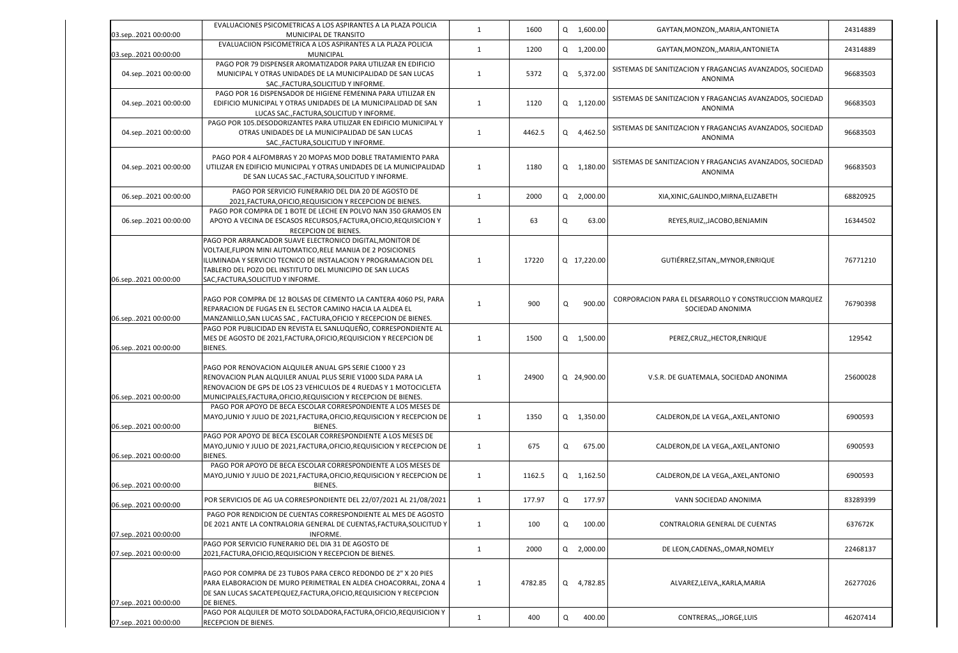| 03.sep2021 00:00:00 | EVALUACIONES PSICOMETRICAS A LOS ASPIRANTES A LA PLAZA POLICIA<br>MUNICIPAL DE TRANSITO                                                                                                                                                                                                        | -1           | 1600    |   | $Q = 1,600.00$ | GAYTAN, MONZON, , MARIA, ANTONIETA                                          | 24314889 |
|---------------------|------------------------------------------------------------------------------------------------------------------------------------------------------------------------------------------------------------------------------------------------------------------------------------------------|--------------|---------|---|----------------|-----------------------------------------------------------------------------|----------|
|                     | EVALUACIION PSICOMETRICA A LOS ASPIRANTES A LA PLAZA POLICIA                                                                                                                                                                                                                                   |              |         |   |                |                                                                             |          |
| 03.sep2021 00:00:00 | <b>MUNICIPAL</b>                                                                                                                                                                                                                                                                               | $\mathbf{1}$ | 1200    |   | Q 1,200.00     | GAYTAN, MONZON, , MARIA, ANTONIETA                                          | 24314889 |
| 04.sep2021 00:00:00 | PAGO POR 79 DISPENSER AROMATIZADOR PARA UTILIZAR EN EDIFICIO<br>MUNICIPAL Y OTRAS UNIDADES DE LA MUNICIPALIDAD DE SAN LUCAS<br>SAC., FACTURA, SOLICITUD Y INFORME.                                                                                                                             | $\mathbf{1}$ | 5372    |   | Q 5,372.00     | SISTEMAS DE SANITIZACION Y FRAGANCIAS AVANZADOS, SOCIEDAD<br><b>ANONIMA</b> | 96683503 |
| 04.sep2021 00:00:00 | PAGO POR 16 DISPENSADOR DE HIGIENE FEMENINA PARA UTILIZAR EN<br>EDIFICIO MUNICIPAL Y OTRAS UNIDADES DE LA MUNICIPALIDAD DE SAN<br>LUCAS SAC., FACTURA, SOLICITUD Y INFORME.                                                                                                                    | $\mathbf{1}$ | 1120    |   | Q 1,120.00     | SISTEMAS DE SANITIZACION Y FRAGANCIAS AVANZADOS, SOCIEDAD<br>ANONIMA        | 96683503 |
| 04.sep2021 00:00:00 | PAGO POR 105. DESODORIZANTES PARA UTILIZAR EN EDIFICIO MUNICIPAL Y<br>OTRAS UNIDADES DE LA MUNICIPALIDAD DE SAN LUCAS<br>SAC., FACTURA, SOLICITUD Y INFORME.                                                                                                                                   | $\mathbf{1}$ | 4462.5  |   | Q 4,462.50     | SISTEMAS DE SANITIZACION Y FRAGANCIAS AVANZADOS, SOCIEDAD<br>ANONIMA        | 96683503 |
| 04.sep2021 00:00:00 | PAGO POR 4 ALFOMBRAS Y 20 MOPAS MOD DOBLE TRATAMIENTO PARA<br>UTILIZAR EN EDIFICIO MUNICIPAL Y OTRAS UNIDADES DE LA MUNICIPALIDAD<br>DE SAN LUCAS SAC., FACTURA, SOLICITUD Y INFORME.                                                                                                          | $\mathbf{1}$ | 1180    |   | Q 1,180.00     | SISTEMAS DE SANITIZACION Y FRAGANCIAS AVANZADOS, SOCIEDAD<br>ANONIMA        | 96683503 |
| 06.sep2021 00:00:00 | PAGO POR SERVICIO FUNERARIO DEL DIA 20 DE AGOSTO DE<br>2021, FACTURA, OFICIO, REQUISICION Y RECEPCION DE BIENES.                                                                                                                                                                               | -1           | 2000    | Q | 2,000.00       | XIA, XINIC, GALINDO, MIRNA, ELIZABETH                                       | 68820925 |
| 06.sep2021 00:00:00 | PAGO POR COMPRA DE 1 BOTE DE LECHE EN POLVO NAN 350 GRAMOS EN<br>APOYO A VECINA DE ESCASOS RECURSOS, FACTURA, OFICIO, REQUISICION Y<br>RECEPCION DE BIENES.                                                                                                                                    | 1            | 63      | Q | 63.00          | REYES, RUIZ, JACOBO, BENJAMIN                                               | 16344502 |
| 06.sep2021 00:00:00 | PAGO POR ARRANCADOR SUAVE ELECTRONICO DIGITAL, MONITOR DE<br>VOLTAJE, FLIPON MINI AUTOMATICO, RELE MANIJA DE 2 POSICIONES<br>ILUMINADA Y SERVICIO TECNICO DE INSTALACION Y PROGRAMACION DEL<br>TABLERO DEL POZO DEL INSTITUTO DEL MUNICIPIO DE SAN LUCAS<br>SAC, FACTURA, SOLICITUD Y INFORME. | $\mathbf{1}$ | 17220   |   | Q 17,220.00    | GUTIÉRREZ, SITAN,, MYNOR, ENRIQUE                                           | 76771210 |
| 06.sep2021 00:00:00 | PAGO POR COMPRA DE 12 BOLSAS DE CEMENTO LA CANTERA 4060 PSI, PARA<br>REPARACION DE FUGAS EN EL SECTOR CAMINO HACIA LA ALDEA EL<br>MANZANILLO, SAN LUCAS SAC, FACTURA, OFICIO Y RECEPCION DE BIENES.                                                                                            | 1            | 900     | Q | 900.00         | CORPORACION PARA EL DESARROLLO Y CONSTRUCCION MARQUEZ<br>SOCIEDAD ANONIMA   | 76790398 |
| 06.sep2021 00:00:00 | PAGO POR PUBLICIDAD EN REVISTA EL SANLUQUEÑO, CORRESPONDIENTE AL<br>MES DE AGOSTO DE 2021, FACTURA, OFICIO, REQUISICION Y RECEPCION DE<br>BIENES.                                                                                                                                              | $\mathbf{1}$ | 1500    |   | Q 1,500.00     | PEREZ, CRUZ, HECTOR, ENRIQUE                                                | 129542   |
| 06.sep2021 00:00:00 | PAGO POR RENOVACION ALQUILER ANUAL GPS SERIE C1000 Y 23<br>RENOVACION PLAN ALQUILER ANUAL PLUS SERIE V1000 SLDA PARA LA<br>RENOVACION DE GPS DE LOS 23 VEHICULOS DE 4 RUEDAS Y 1 MOTOCICLETA<br>MUNICIPALES, FACTURA, OFICIO, REQUISICION Y RECEPCION DE BIENES.                               | -1           | 24900   |   | Q 24,900.00    | V.S.R. DE GUATEMALA, SOCIEDAD ANONIMA                                       | 25600028 |
| 06.sep2021 00:00:00 | PAGO POR APOYO DE BECA ESCOLAR CORRESPONDIENTE A LOS MESES DE<br>MAYO, JUNIO Y JULIO DE 2021, FACTURA, OFICIO, REQUISICION Y RECEPCION DE<br><b>BIENES.</b>                                                                                                                                    | 1            | 1350    |   | $Q = 1,350.00$ | CALDERON, DE LA VEGA,, AXEL, ANTONIO                                        | 6900593  |
| 06.sep2021 00:00:00 | PAGO POR APOYO DE BECA ESCOLAR CORRESPONDIENTE A LOS MESES DE<br>MAYO, JUNIO Y JULIO DE 2021, FACTURA, OFICIO, REQUISICION Y RECEPCION DE<br><b>BIENES.</b>                                                                                                                                    | $\mathbf{1}$ | 675     | Q | 675.00         | CALDERON, DE LA VEGA,, AXEL, ANTONIO                                        | 6900593  |
| 06.sep2021 00:00:00 | PAGO POR APOYO DE BECA ESCOLAR CORRESPONDIENTE A LOS MESES DE<br>MAYO, JUNIO Y JULIO DE 2021, FACTURA, OFICIO, REQUISICION Y RECEPCION DE<br><b>BIENES.</b>                                                                                                                                    | $\mathbf{1}$ | 1162.5  |   | Q 1,162.50     | CALDERON, DE LA VEGA,, AXEL, ANTONIO                                        | 6900593  |
| 06.sep2021 00:00:00 | POR SERVICIOS DE AG UA CORRESPONDIENTE DEL 22/07/2021 AL 21/08/2021                                                                                                                                                                                                                            | 1            | 177.97  | Q | 177.97         | VANN SOCIEDAD ANONIMA                                                       | 83289399 |
| 07.sep2021 00:00:00 | PAGO POR RENDICION DE CUENTAS CORRESPONDIENTE AL MES DE AGOSTO<br>DE 2021 ANTE LA CONTRALORIA GENERAL DE CUENTAS, FACTURA, SOLICITUD Y<br>INFORME.                                                                                                                                             | 1            | 100     | Q | 100.00         | CONTRALORIA GENERAL DE CUENTAS                                              | 637672K  |
| 07.sep2021 00:00:00 | PAGO POR SERVICIO FUNERARIO DEL DIA 31 DE AGOSTO DE<br>2021, FACTURA, OFICIO, REQUISICION Y RECEPCION DE BIENES.                                                                                                                                                                               | 1            | 2000    |   | Q 2,000.00     | DE LEON, CADENAS, , OMAR, NOMELY                                            | 22468137 |
| 07.sep2021 00:00:00 | PAGO POR COMPRA DE 23 TUBOS PARA CERCO REDONDO DE 2" X 20 PIES<br>PARA ELABORACION DE MURO PERIMETRAL EN ALDEA CHOACORRAL, ZONA 4<br>DE SAN LUCAS SACATEPEQUEZ, FACTURA, OFICIO, REQUISICION Y RECEPCION<br><b>DE BIENES.</b>                                                                  | 1            | 4782.85 | Q | 4,782.85       | ALVAREZ, LEIVA, , KARLA, MARIA                                              | 26277026 |
| 07.sep2021 00:00:00 | PAGO POR ALQUILER DE MOTO SOLDADORA, FACTURA, OFICIO, REQUISICION Y<br><b>RECEPCION DE BIENES.</b>                                                                                                                                                                                             | 1            | 400     | Q | 400.00         | CONTRERAS,,,JORGE,LUIS                                                      | 46207414 |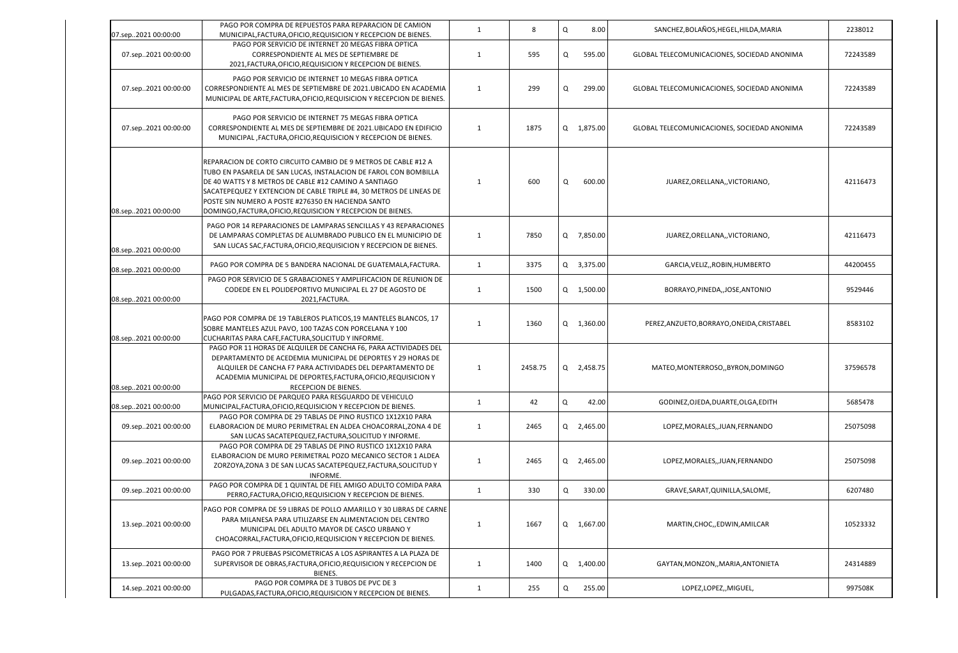|                     | PAGO POR COMPRA DE REPUESTOS PARA REPARACION DE CAMION                                                                              | $\mathbf{1}$   | 8       | Q | 8.00       | SANCHEZ, BOLAÑOS, HEGEL, HILDA, MARIA       | 2238012  |
|---------------------|-------------------------------------------------------------------------------------------------------------------------------------|----------------|---------|---|------------|---------------------------------------------|----------|
| 07.sep2021 00:00:00 | MUNICIPAL, FACTURA, OFICIO, REQUISICION Y RECEPCION DE BIENES.                                                                      |                |         |   |            |                                             |          |
| 07.sep2021 00:00:00 | PAGO POR SERVICIO DE INTERNET 20 MEGAS FIBRA OPTICA<br>CORRESPONDIENTE AL MES DE SEPTIEMBRE DE                                      | $\mathbf 1$    | 595     | Q | 595.00     | GLOBAL TELECOMUNICACIONES, SOCIEDAD ANONIMA | 72243589 |
|                     | 2021, FACTURA, OFICIO, REQUISICION Y RECEPCION DE BIENES.                                                                           |                |         |   |            |                                             |          |
|                     | PAGO POR SERVICIO DE INTERNET 10 MEGAS FIBRA OPTICA                                                                                 |                |         |   |            |                                             |          |
| 07.sep2021 00:00:00 | CORRESPONDIENTE AL MES DE SEPTIEMBRE DE 2021.UBICADO EN ACADEMIA                                                                    | $\overline{1}$ | 299     | Q | 299.00     | GLOBAL TELECOMUNICACIONES, SOCIEDAD ANONIMA | 72243589 |
|                     | MUNICIPAL DE ARTE, FACTURA, OFICIO, REQUISICION Y RECEPCION DE BIENES.                                                              |                |         |   |            |                                             |          |
|                     |                                                                                                                                     |                |         |   |            |                                             |          |
|                     | PAGO POR SERVICIO DE INTERNET 75 MEGAS FIBRA OPTICA                                                                                 |                |         |   |            |                                             |          |
| 07.sep2021 00:00:00 | CORRESPONDIENTE AL MES DE SEPTIEMBRE DE 2021.UBICADO EN EDIFICIO<br>MUNICIPAL, FACTURA, OFICIO, REQUISICION Y RECEPCION DE BIENES.  | $\mathbf{1}$   | 1875    | Q | 1,875.00   | GLOBAL TELECOMUNICACIONES, SOCIEDAD ANONIMA | 72243589 |
|                     |                                                                                                                                     |                |         |   |            |                                             |          |
|                     | REPARACION DE CORTO CIRCUITO CAMBIO DE 9 METROS DE CABLE #12 A                                                                      |                |         |   |            |                                             |          |
|                     | TUBO EN PASARELA DE SAN LUCAS, INSTALACION DE FAROL CON BOMBILLA                                                                    |                |         |   |            |                                             |          |
|                     | DE 40 WATTS Y 8 METROS DE CABLE #12 CAMINO A SANTIAGO                                                                               | $\mathbf 1$    | 600     | Q | 600.00     | JUAREZ, ORELLANA, , VICTORIANO,             | 42116473 |
|                     | SACATEPEQUEZ Y EXTENCION DE CABLE TRIPLE #4, 30 METROS DE LINEAS DE                                                                 |                |         |   |            |                                             |          |
|                     | POSTE SIN NUMERO A POSTE #276350 EN HACIENDA SANTO                                                                                  |                |         |   |            |                                             |          |
| 08.sep2021 00:00:00 | DOMINGO, FACTURA, OFICIO, REQUISICION Y RECEPCION DE BIENES.                                                                        |                |         |   |            |                                             |          |
|                     | PAGO POR 14 REPARACIONES DE LAMPARAS SENCILLAS Y 43 REPARACIONES                                                                    |                |         |   |            |                                             |          |
|                     | DE LAMPARAS COMPLETAS DE ALUMBRADO PUBLICO EN EL MUNICIPIO DE                                                                       | $\overline{1}$ | 7850    | Q | 7,850.00   | JUAREZ, ORELLANA, , VICTORIANO,             | 42116473 |
| 08.sep2021 00:00:00 | SAN LUCAS SAC, FACTURA, OFICIO, REQUISICION Y RECEPCION DE BIENES.                                                                  |                |         |   |            |                                             |          |
| 08.sep2021 00:00:00 | PAGO POR COMPRA DE 5 BANDERA NACIONAL DE GUATEMALA, FACTURA.                                                                        | -1             | 3375    |   | Q 3,375.00 | GARCIA, VELIZ, , ROBIN, HUMBERTO            | 44200455 |
|                     | PAGO POR SERVICIO DE 5 GRABACIONES Y AMPLIFICACION DE REUNION DE                                                                    |                |         |   |            |                                             |          |
|                     | CODEDE EN EL POLIDEPORTIVO MUNICIPAL EL 27 DE AGOSTO DE                                                                             | $\mathbf{1}$   | 1500    |   | Q 1,500.00 | BORRAYO, PINEDA, , JOSE, ANTONIO            | 9529446  |
| 08.sep2021 00:00:00 | 2021, FACTURA.                                                                                                                      |                |         |   |            |                                             |          |
|                     | PAGO POR COMPRA DE 19 TABLEROS PLATICOS, 19 MANTELES BLANCOS, 17                                                                    |                |         |   |            |                                             |          |
|                     | SOBRE MANTELES AZUL PAVO, 100 TAZAS CON PORCELANA Y 100                                                                             | -1             | 1360    | Q | 1,360.00   | PEREZ, ANZUETO, BORRAYO, ONEIDA, CRISTABEL  | 8583102  |
| 08.sep2021 00:00:00 | CUCHARITAS PARA CAFE, FACTURA, SOLICITUD Y INFORME.                                                                                 |                |         |   |            |                                             |          |
|                     | PAGO POR 11 HORAS DE ALQUILER DE CANCHA F6, PARA ACTIVIDADES DEL                                                                    |                |         |   |            |                                             |          |
|                     | DEPARTAMENTO DE ACEDEMIA MUNICIPAL DE DEPORTES Y 29 HORAS DE                                                                        |                |         |   |            |                                             |          |
|                     | ALQUILER DE CANCHA F7 PARA ACTIVIDADES DEL DEPARTAMENTO DE                                                                          | -1             | 2458.75 | Q | 2,458.75   | MATEO, MONTERROSO, BYRON, DOMINGO           | 37596578 |
| 08.sep2021 00:00:00 | ACADEMIA MUNICIPAL DE DEPORTES, FACTURA, OFICIO, REQUISICION Y<br>RECEPCION DE BIENES.                                              |                |         |   |            |                                             |          |
|                     | PAGO POR SERVICIO DE PARQUEO PARA RESGUARDO DE VEHICULO                                                                             |                |         |   |            |                                             |          |
| 08.sep2021 00:00:00 | MUNICIPAL, FACTURA, OFICIO, REQUISICION Y RECEPCION DE BIENES.                                                                      | $\overline{1}$ | 42      | O | 42.00      | GODINEZ, OJEDA, DUARTE, OLGA, EDITH         | 5685478  |
|                     | PAGO POR COMPRA DE 29 TABLAS DE PINO RUSTICO 1X12X10 PARA                                                                           |                |         |   |            |                                             |          |
| 09.sep2021 00:00:00 | ELABORACION DE MURO PERIMETRAL EN ALDEA CHOACORRAL, ZONA 4 DE                                                                       | $\mathbf{1}$   | 2465    | Q | 2,465.00   | LOPEZ, MORALES, , JUAN, FERNANDO            | 25075098 |
|                     | SAN LUCAS SACATEPEQUEZ, FACTURA, SOLICITUD Y INFORME.<br>PAGO POR COMPRA DE 29 TABLAS DE PINO RUSTICO 1X12X10 PARA                  |                |         |   |            |                                             |          |
|                     | ELABORACION DE MURO PERIMETRAL POZO MECANICO SECTOR 1 ALDEA                                                                         |                |         |   |            |                                             |          |
| 09.sep2021 00:00:00 | ZORZOYA, ZONA 3 DE SAN LUCAS SACATEPEQUEZ, FACTURA, SOLICITUD Y                                                                     | $\overline{1}$ | 2465    | Q | 2,465.00   | LOPEZ, MORALES, , JUAN, FERNANDO            | 25075098 |
|                     | INFORME.                                                                                                                            |                |         |   |            |                                             |          |
| 09.sep2021 00:00:00 | PAGO POR COMPRA DE 1 QUINTAL DE FIEL AMIGO ADULTO COMIDA PARA                                                                       | $\mathbf{1}$   | 330     | Q | 330.00     | GRAVE, SARAT, QUINILLA, SALOME,             | 6207480  |
|                     | PERRO, FACTURA, OFICIO, REQUISICION Y RECEPCION DE BIENES.                                                                          |                |         |   |            |                                             |          |
|                     | PAGO POR COMPRA DE 59 LIBRAS DE POLLO AMARILLO Y 30 LIBRAS DE CARNE                                                                 |                |         |   |            |                                             |          |
| 13.sep2021 00:00:00 | PARA MILANESA PARA UTILIZARSE EN ALIMENTACION DEL CENTRO<br>MUNICIPAL DEL ADULTO MAYOR DE CASCO URBANO Y                            | $\mathbf 1$    | 1667    | Q | 1,667.00   | MARTIN, CHOC, , EDWIN, AMILCAR              | 10523332 |
|                     | CHOACORRAL, FACTURA, OFICIO, REQUISICION Y RECEPCION DE BIENES.                                                                     |                |         |   |            |                                             |          |
|                     |                                                                                                                                     |                |         |   |            |                                             |          |
| 13.sep2021 00:00:00 | PAGO POR 7 PRUEBAS PSICOMETRICAS A LOS ASPIRANTES A LA PLAZA DE<br>SUPERVISOR DE OBRAS, FACTURA, OFICIO, REQUISICION Y RECEPCION DE | -1             | 1400    | Q | 1,400.00   | GAYTAN, MONZON, , MARIA, ANTONIETA          | 24314889 |
|                     | BIENES.                                                                                                                             |                |         |   |            |                                             |          |
| 14.sep2021 00:00:00 | PAGO POR COMPRA DE 3 TUBOS DE PVC DE 3                                                                                              | -1             | 255     | Q | 255.00     | LOPEZ, LOPEZ,, MIGUEL,                      | 997508K  |
|                     | PULGADAS, FACTURA, OFICIO, REQUISICION Y RECEPCION DE BIENES.                                                                       |                |         |   |            |                                             |          |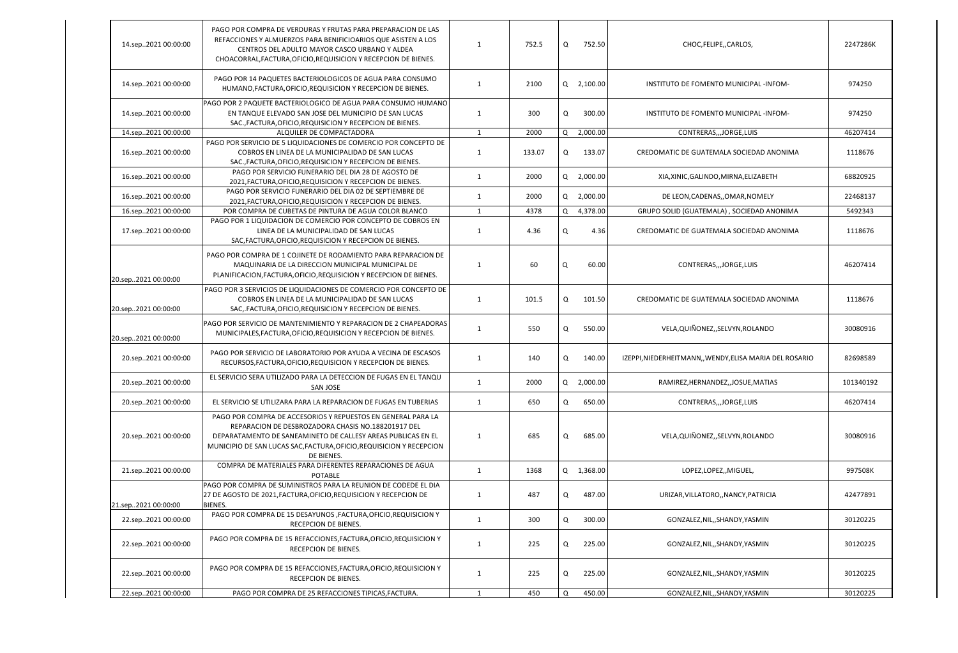| 14.sep2021 00:00:00 | PAGO POR COMPRA DE VERDURAS Y FRUTAS PARA PREPARACION DE LAS<br>REFACCIONES Y ALMUERZOS PARA BENIFICIOARIOS QUE ASISTEN A LOS<br>CENTROS DEL ADULTO MAYOR CASCO URBANO Y ALDEA<br>CHOACORRAL, FACTURA, OFICIO, REQUISICION Y RECEPCION DE BIENES.                        | -1           | 752.5  | Q | 752.50   | CHOC, FELIPE, , CARLOS,                                 | 2247286K  |
|---------------------|--------------------------------------------------------------------------------------------------------------------------------------------------------------------------------------------------------------------------------------------------------------------------|--------------|--------|---|----------|---------------------------------------------------------|-----------|
| 14.sep2021 00:00:00 | PAGO POR 14 PAQUETES BACTERIOLOGICOS DE AGUA PARA CONSUMO<br>HUMANO, FACTURA, OFICIO, REQUISICION Y RECEPCION DE BIENES.                                                                                                                                                 | 1            | 2100   | Q | 2,100.00 | INSTITUTO DE FOMENTO MUNICIPAL -INFOM-                  | 974250    |
| 14.sep2021 00:00:00 | PAGO POR 2 PAQUETE BACTERIOLOGICO DE AGUA PARA CONSUMO HUMANO<br>EN TANQUE ELEVADO SAN JOSE DEL MUNICIPIO DE SAN LUCAS<br>SAC., FACTURA, OFICIO, REQUISICION Y RECEPCION DE BIENES.                                                                                      | 1            | 300    | Q | 300.00   | INSTITUTO DE FOMENTO MUNICIPAL -INFOM-                  | 974250    |
| 14.sep2021 00:00:00 | ALQUILER DE COMPACTADORA                                                                                                                                                                                                                                                 | $\mathbf{1}$ | 2000   | Q | 2,000.00 | CONTRERAS,,,JORGE,LUIS                                  | 46207414  |
| 16.sep2021 00:00:00 | PAGO POR SERVICIO DE 5 LIQUIDACIONES DE COMERCIO POR CONCEPTO DE<br>COBROS EN LINEA DE LA MUNICIPALIDAD DE SAN LUCAS<br>SAC., FACTURA, OFICIO, REQUISICION Y RECEPCION DE BIENES.                                                                                        | $\mathbf{1}$ | 133.07 | Q | 133.07   | CREDOMATIC DE GUATEMALA SOCIEDAD ANONIMA                | 1118676   |
| 16.sep2021 00:00:00 | PAGO POR SERVICIO FUNERARIO DEL DIA 28 DE AGOSTO DE<br>2021, FACTURA, OFICIO, REQUISICION Y RECEPCION DE BIENES.                                                                                                                                                         | $\mathbf{1}$ | 2000   | Q | 2,000.00 | XIA, XINIC, GALINDO, MIRNA, ELIZABETH                   | 68820925  |
| 16.sep2021 00:00:00 | PAGO POR SERVICIO FUNERARIO DEL DIA 02 DE SEPTIEMBRE DE<br>2021, FACTURA, OFICIO, REQUISICION Y RECEPCION DE BIENES.                                                                                                                                                     | 1            | 2000   | Q | 2,000.00 | DE LEON, CADENAS, , OMAR, NOMELY                        | 22468137  |
| 16.sep2021 00:00:00 | POR COMPRA DE CUBETAS DE PINTURA DE AGUA COLOR BLANCO                                                                                                                                                                                                                    | $\mathbf{1}$ | 4378   | Q | 4,378.00 | GRUPO SOLID (GUATEMALA), SOCIEDAD ANONIMA               | 5492343   |
| 17.sep2021 00:00:00 | PAGO POR 1 LIQUIDACION DE COMERCIO POR CONCEPTO DE COBROS EN<br>LINEA DE LA MUNICIPALIDAD DE SAN LUCAS<br>SAC, FACTURA, OFICIO, REQUISICION Y RECEPCION DE BIENES.                                                                                                       | $\mathbf{1}$ | 4.36   | Q | 4.36     | CREDOMATIC DE GUATEMALA SOCIEDAD ANONIMA                | 1118676   |
| 20.sep2021 00:00:00 | PAGO POR COMPRA DE 1 COJINETE DE RODAMIENTO PARA REPARACION DE<br>MAQUINARIA DE LA DIRECCION MUNICIPAL MUNICIPAL DE<br>PLANIFICACION, FACTURA, OFICIO, REQUISICION Y RECEPCION DE BIENES.                                                                                | -1           | 60     | Q | 60.00    | CONTRERAS,,,JORGE,LUIS                                  | 46207414  |
| 20.sep2021 00:00:00 | PAGO POR 3 SERVICIOS DE LIQUIDACIONES DE COMERCIO POR CONCEPTO DE<br>COBROS EN LINEA DE LA MUNICIPALIDAD DE SAN LUCAS<br>SAC, FACTURA, OFICIO, REQUISICION Y RECEPCION DE BIENES.                                                                                        | -1           | 101.5  | Q | 101.50   | CREDOMATIC DE GUATEMALA SOCIEDAD ANONIMA                | 1118676   |
| 20.sep2021 00:00:00 | PAGO POR SERVICIO DE MANTENIMIENTO Y REPARACION DE 2 CHAPEADORAS<br>MUNICIPALES, FACTURA, OFICIO, REQUISICION Y RECEPCION DE BIENES.                                                                                                                                     | 1            | 550    | Q | 550.00   | VELA, QUIÑONEZ,, SELVYN, ROLANDO                        | 30080916  |
| 20.sep2021 00:00:00 | PAGO POR SERVICIO DE LABORATORIO POR AYUDA A VECINA DE ESCASOS<br>RECURSOS, FACTURA, OFICIO, REQUISICION Y RECEPCION DE BIENES.                                                                                                                                          | -1           | 140    | Q | 140.00   | IZEPPI, NIEDERHEITMANN,, WENDY, ELISA MARIA DEL ROSARIO | 82698589  |
| 20.sep2021 00:00:00 | EL SERVICIO SERA UTILIZADO PARA LA DETECCION DE FUGAS EN EL TANQU<br>SAN JOSE                                                                                                                                                                                            | $\mathbf{1}$ | 2000   | Q | 2,000.00 | RAMIREZ, HERNANDEZ,, JOSUE, MATIAS                      | 101340192 |
| 20.sep2021 00:00:00 | EL SERVICIO SE UTILIZARA PARA LA REPARACION DE FUGAS EN TUBERIAS                                                                                                                                                                                                         | 1            | 650    | Q | 650.00   | CONTRERAS,,,JORGE,LUIS                                  | 46207414  |
| 20.sep2021 00:00:00 | PAGO POR COMPRA DE ACCESORIOS Y REPUESTOS EN GENERAL PARA LA<br>REPARACION DE DESBROZADORA CHASIS NO.188201917 DEL<br>DEPARATAMENTO DE SANEAMINETO DE CALLESY AREAS PUBLICAS EN EL<br>MUNICIPIO DE SAN LUCAS SAC, FACTURA, OFICIO, REQUISICION Y RECEPCION<br>DE BIENES. | $\mathbf{1}$ | 685    | Q | 685.00   | VELA, QUIÑONEZ, SELVYN, ROLANDO                         | 30080916  |
| 21.sep2021 00:00:00 | COMPRA DE MATERIALES PARA DIFERENTES REPARACIONES DE AGUA<br><b>POTABLE</b>                                                                                                                                                                                              | $\mathbf{1}$ | 1368   | Q | 1,368.00 | LOPEZ, LOPEZ, , MIGUEL,                                 | 997508K   |
| 21.sep2021 00:00:00 | PAGO POR COMPRA DE SUMINISTROS PARA LA REUNION DE CODEDE EL DIA<br>27 DE AGOSTO DE 2021, FACTURA, OFICIO, REQUISICION Y RECEPCION DE<br><b>BIENES.</b>                                                                                                                   | 1            | 487    | Q | 487.00   | URIZAR, VILLATORO,, NANCY, PATRICIA                     | 42477891  |
| 22.sep2021 00:00:00 | PAGO POR COMPRA DE 15 DESAYUNOS , FACTURA, OFICIO, REQUISICION Y<br>RECEPCION DE BIENES.                                                                                                                                                                                 | 1            | 300    | Q | 300.00   | GONZALEZ, NIL,, SHANDY, YASMIN                          | 30120225  |
| 22.sep2021 00:00:00 | PAGO POR COMPRA DE 15 REFACCIONES, FACTURA, OFICIO, REQUISICION Y<br>RECEPCION DE BIENES.                                                                                                                                                                                | $\mathbf{1}$ | 225    | Q | 225.00   | GONZALEZ, NIL,, SHANDY, YASMIN                          | 30120225  |
| 22.sep2021 00:00:00 | PAGO POR COMPRA DE 15 REFACCIONES, FACTURA, OFICIO, REQUISICION Y<br>RECEPCION DE BIENES.                                                                                                                                                                                | $\mathbf{1}$ | 225    | Q | 225.00   | GONZALEZ, NIL,, SHANDY, YASMIN                          | 30120225  |
| 22.sep2021 00:00:00 | PAGO POR COMPRA DE 25 REFACCIONES TIPICAS, FACTURA.                                                                                                                                                                                                                      |              | 450    | Q | 450.00   | GONZALEZ, NIL,, SHANDY, YASMIN                          | 30120225  |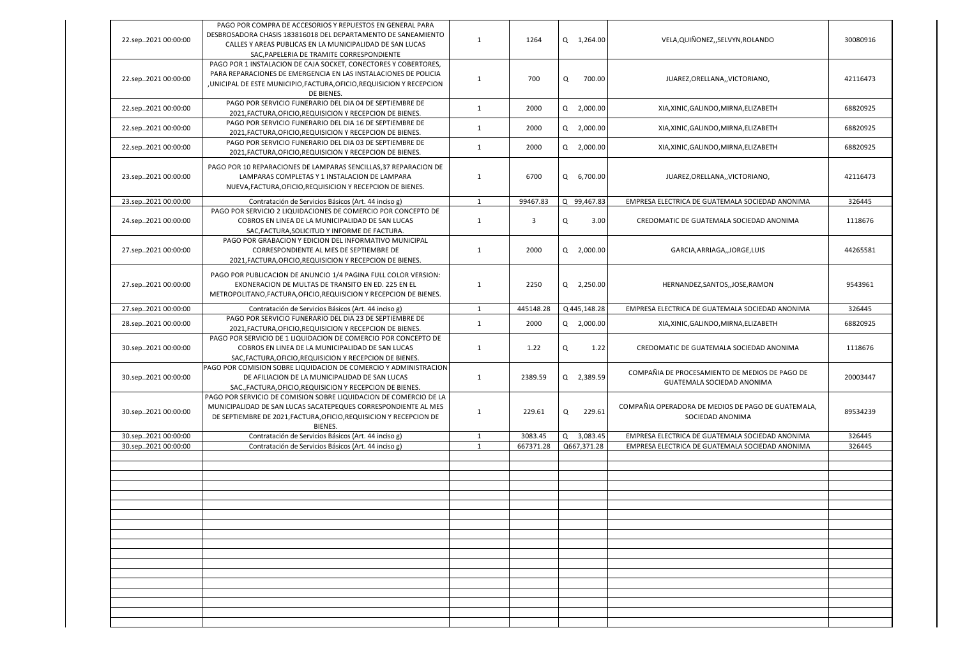| 22.sep2021 00:00:00 | PAGO POR COMPRA DE ACCESORIOS Y REPUESTOS EN GENERAL PARA<br>DESBROSADORA CHASIS 183816018 DEL DEPARTAMENTO DE SANEAMIENTO<br>CALLES Y AREAS PUBLICAS EN LA MUNICIPALIDAD DE SAN LUCAS<br>SAC, PAPELERIA DE TRAMITE CORRESPONDIENTE |              | 1264      | Q<br>1,264.00 | VELA, QUIÑONEZ,, SELVYN, ROLANDO                                             | 30080916 |
|---------------------|-------------------------------------------------------------------------------------------------------------------------------------------------------------------------------------------------------------------------------------|--------------|-----------|---------------|------------------------------------------------------------------------------|----------|
| 22.sep2021 00:00:00 | PAGO POR 1 INSTALACION DE CAJA SOCKET, CONECTORES Y COBERTORES,<br>PARA REPARACIONES DE EMERGENCIA EN LAS INSTALACIONES DE POLICIA<br>, UNICIPAL DE ESTE MUNICIPIO, FACTURA, OFICIO, REQUISICION Y RECEPCION<br>DE BIENES.          | $\mathbf{1}$ | 700       | Q<br>700.00   | JUAREZ, ORELLANA, , VICTORIANO,                                              | 42116473 |
| 22.sep2021 00:00:00 | PAGO POR SERVICIO FUNERARIO DEL DIA 04 DE SEPTIEMBRE DE<br>2021, FACTURA, OFICIO, REQUISICION Y RECEPCION DE BIENES.                                                                                                                | $\mathbf{1}$ | 2000      | 2,000.00<br>Q | XIA, XINIC, GALINDO, MIRNA, ELIZABETH                                        | 68820925 |
| 22.sep2021 00:00:00 | PAGO POR SERVICIO FUNERARIO DEL DIA 16 DE SEPTIEMBRE DE<br>2021, FACTURA, OFICIO, REQUISICION Y RECEPCION DE BIENES.                                                                                                                | 1            | 2000      | Q<br>2,000.00 | XIA, XINIC, GALINDO, MIRNA, ELIZABETH                                        | 68820925 |
| 22.sep2021 00:00:00 | PAGO POR SERVICIO FUNERARIO DEL DIA 03 DE SEPTIEMBRE DE<br>2021, FACTURA, OFICIO, REQUISICION Y RECEPCION DE BIENES.                                                                                                                | 1            | 2000      | Q<br>2,000.00 | XIA, XINIC, GALINDO, MIRNA, ELIZABETH                                        | 68820925 |
| 23.sep2021 00:00:00 | PAGO POR 10 REPARACIONES DE LAMPARAS SENCILLAS, 37 REPARACION DE<br>LAMPARAS COMPLETAS Y 1 INSTALACION DE LAMPARA<br>NUEVA, FACTURA, OFICIO, REQUISICION Y RECEPCION DE BIENES.                                                     | -1           | 6700      | 6,700.00<br>Q | JUAREZ, ORELLANA, , VICTORIANO,                                              | 42116473 |
| 23.sep2021 00:00:00 | Contratación de Servicios Básicos (Art. 44 inciso g)                                                                                                                                                                                |              | 99467.83  | Q 99,467.83   | EMPRESA ELECTRICA DE GUATEMALA SOCIEDAD ANONIMA                              | 326445   |
| 24.sep2021 00:00:00 | PAGO POR SERVICIO 2 LIQUIDACIONES DE COMERCIO POR CONCEPTO DE<br>COBROS EN LINEA DE LA MUNICIPALIDAD DE SAN LUCAS<br>SAC, FACTURA, SOLICITUD Y INFORME DE FACTURA.                                                                  | -1           | 3         | 3.00<br>Q     | CREDOMATIC DE GUATEMALA SOCIEDAD ANONIMA                                     | 1118676  |
| 27.sep2021 00:00:00 | PAGO POR GRABACION Y EDICION DEL INFORMATIVO MUNICIPAL<br>CORRESPONDIENTE AL MES DE SEPTIEMBRE DE<br>2021, FACTURA, OFICIO, REQUISICION Y RECEPCION DE BIENES.                                                                      | -1           | 2000      | Q<br>2,000.00 | GARCIA, ARRIAGA, , JORGE, LUIS                                               | 44265581 |
| 27.sep2021 00:00:00 | PAGO POR PUBLICACION DE ANUNCIO 1/4 PAGINA FULL COLOR VERSION:<br>EXONERACION DE MULTAS DE TRANSITO EN ED. 225 EN EL<br>METROPOLITANO, FACTURA, OFICIO, REQUISICION Y RECEPCION DE BIENES.                                          | $\mathbf{1}$ | 2250      | Q<br>2,250.00 | HERNANDEZ, SANTOS, , JOSE, RAMON                                             | 9543961  |
| 27.sep2021 00:00:00 | Contratación de Servicios Básicos (Art. 44 inciso g)                                                                                                                                                                                | $\mathbf{1}$ | 445148.28 | Q 445,148.28  | EMPRESA ELECTRICA DE GUATEMALA SOCIEDAD ANONIMA                              | 326445   |
| 28.sep2021 00:00:00 | PAGO POR SERVICIO FUNERARIO DEL DIA 23 DE SEPTIEMBRE DE<br>2021, FACTURA, OFICIO, REQUISICION Y RECEPCION DE BIENES.                                                                                                                | -1           | 2000      | Q<br>2,000.00 | XIA, XINIC, GALINDO, MIRNA, ELIZABETH                                        | 68820925 |
| 30.sep2021 00:00:00 | PAGO POR SERVICIO DE 1 LIQUIDACION DE COMERCIO POR CONCEPTO DE<br>COBROS EN LINEA DE LA MUNICIPALIDAD DE SAN LUCAS<br>SAC, FACTURA, OFICIO, REQUISICION Y RECEPCION DE BIENES.                                                      | -1           | 1.22      | Q<br>1.22     | CREDOMATIC DE GUATEMALA SOCIEDAD ANONIMA                                     | 1118676  |
| 30.sep2021 00:00:00 | PAGO POR COMISION SOBRE LIQUIDACION DE COMERCIO Y ADMINISTRACION<br>DE AFILIACION DE LA MUNICIPALIDAD DE SAN LUCAS<br>SAC., FACTURA, OFICIO, REQUISICION Y RECEPCION DE BIENES.                                                     | 1            | 2389.59   | 2,389.59<br>Q | COMPAÑIA DE PROCESAMIENTO DE MEDIOS DE PAGO DE<br>GUATEMALA SOCIEDAD ANONIMA | 20003447 |
| 30.sep2021 00:00:00 | PAGO POR SERVICIO DE COMISION SOBRE LIQUIDACION DE COMERCIO DE LA<br>MUNICIPALIDAD DE SAN LUCAS SACATEPEQUES CORRESPONDIENTE AL MES<br>DE SEPTIEMBRE DE 2021, FACTURA, OFICIO, REQUISICION Y RECEPCION DE<br><b>BIENES.</b>         | $\mathbf 1$  | 229.61    | 229.61<br>Q   | COMPAÑIA OPERADORA DE MEDIOS DE PAGO DE GUATEMALA,<br>SOCIEDAD ANONIMA       | 89534239 |
| 30.sep2021 00:00:00 | Contratación de Servicios Básicos (Art. 44 inciso g)                                                                                                                                                                                | $\mathbf{1}$ | 3083.45   | 3,083.45<br>Q | EMPRESA ELECTRICA DE GUATEMALA SOCIEDAD ANONIMA                              | 326445   |
| 30.sep2021 00:00:00 | Contratación de Servicios Básicos (Art. 44 inciso g)                                                                                                                                                                                | $\mathbf 1$  | 667371.28 | Q667,371.28   | EMPRESA ELECTRICA DE GUATEMALA SOCIEDAD ANONIMA                              | 326445   |
|                     |                                                                                                                                                                                                                                     |              |           |               |                                                                              |          |
|                     |                                                                                                                                                                                                                                     |              |           |               |                                                                              |          |
|                     |                                                                                                                                                                                                                                     |              |           |               |                                                                              |          |
|                     |                                                                                                                                                                                                                                     |              |           |               |                                                                              |          |
|                     |                                                                                                                                                                                                                                     |              |           |               |                                                                              |          |
|                     |                                                                                                                                                                                                                                     |              |           |               |                                                                              |          |
|                     |                                                                                                                                                                                                                                     |              |           |               |                                                                              |          |
|                     |                                                                                                                                                                                                                                     |              |           |               |                                                                              |          |
|                     |                                                                                                                                                                                                                                     |              |           |               |                                                                              |          |
|                     |                                                                                                                                                                                                                                     |              |           |               |                                                                              |          |
|                     |                                                                                                                                                                                                                                     |              |           |               |                                                                              |          |
|                     |                                                                                                                                                                                                                                     |              |           |               |                                                                              |          |
|                     |                                                                                                                                                                                                                                     |              |           |               |                                                                              |          |
|                     |                                                                                                                                                                                                                                     |              |           |               |                                                                              |          |
|                     |                                                                                                                                                                                                                                     |              |           |               |                                                                              |          |